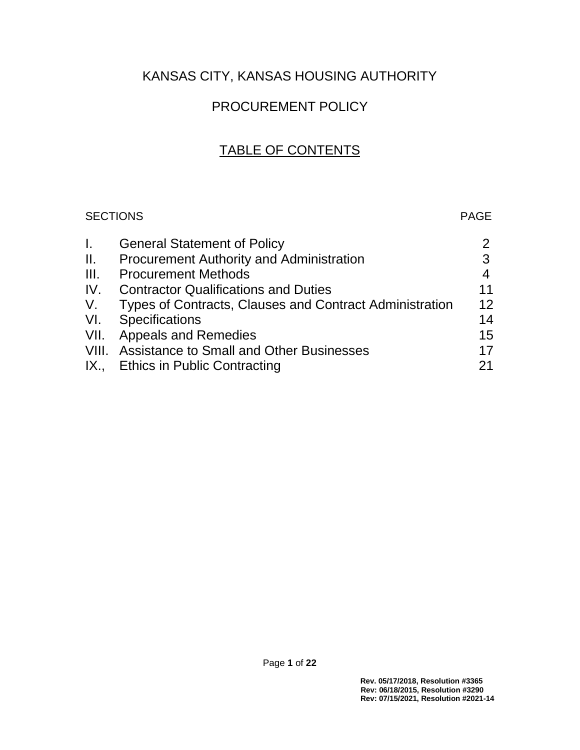# KANSAS CITY, KANSAS HOUSING AUTHORITY

# PROCUREMENT POLICY

# TABLE OF CONTENTS

# SECTIONS PAGE

| L.  | <b>General Statement of Policy</b>                      | $\mathbf{2}^{\prime}$ |
|-----|---------------------------------------------------------|-----------------------|
| ΙΙ. | <b>Procurement Authority and Administration</b>         | 3                     |
| Ш.  | <b>Procurement Methods</b>                              | $\overline{4}$        |
| IV. | <b>Contractor Qualifications and Duties</b>             | 11                    |
| V.  | Types of Contracts, Clauses and Contract Administration | 12                    |
|     | VI. Specifications                                      | 14                    |
|     | VII. Appeals and Remedies                               | 15                    |
|     | VIII. Assistance to Small and Other Businesses          | 17                    |
|     | IX., Ethics in Public Contracting                       | 21                    |
|     |                                                         |                       |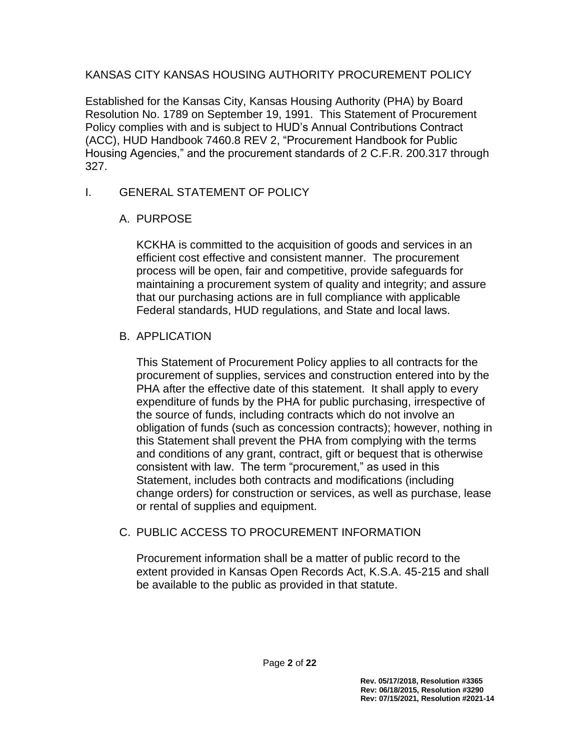#### KANSAS CITY KANSAS HOUSING AUTHORITY PROCUREMENT POLICY

Established for the Kansas City, Kansas Housing Authority (PHA) by Board Resolution No. 1789 on September 19, 1991. This Statement of Procurement Policy complies with and is subject to HUD's Annual Contributions Contract (ACC), HUD Handbook 7460.8 REV 2, "Procurement Handbook for Public Housing Agencies," and the procurement standards of 2 C.F.R. 200.317 through 327.

## I. GENERAL STATEMENT OF POLICY

## A. PURPOSE

KCKHA is committed to the acquisition of goods and services in an efficient cost effective and consistent manner. The procurement process will be open, fair and competitive, provide safeguards for maintaining a procurement system of quality and integrity; and assure that our purchasing actions are in full compliance with applicable Federal standards, HUD regulations, and State and local laws.

# B. APPLICATION

This Statement of Procurement Policy applies to all contracts for the procurement of supplies, services and construction entered into by the PHA after the effective date of this statement. It shall apply to every expenditure of funds by the PHA for public purchasing, irrespective of the source of funds, including contracts which do not involve an obligation of funds (such as concession contracts); however, nothing in this Statement shall prevent the PHA from complying with the terms and conditions of any grant, contract, gift or bequest that is otherwise consistent with law. The term "procurement," as used in this Statement, includes both contracts and modifications (including change orders) for construction or services, as well as purchase, lease or rental of supplies and equipment.

#### C. PUBLIC ACCESS TO PROCUREMENT INFORMATION

Procurement information shall be a matter of public record to the extent provided in Kansas Open Records Act, K.S.A. 45-215 and shall be available to the public as provided in that statute.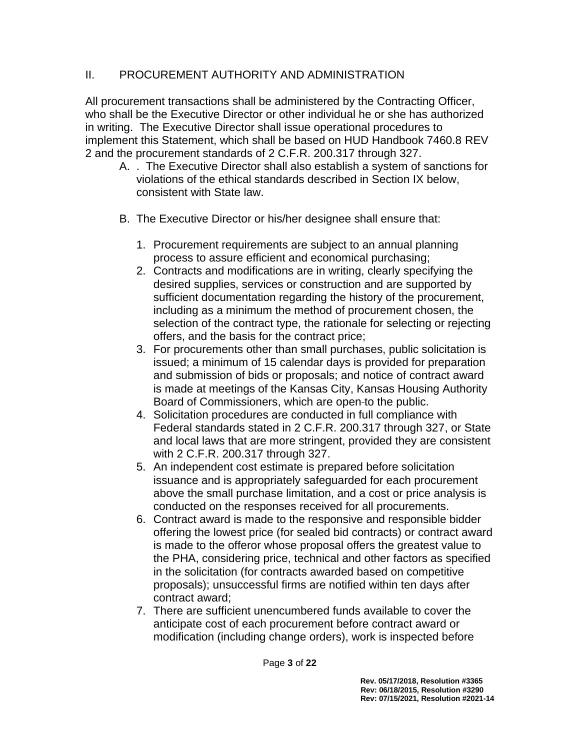# II. PROCUREMENT AUTHORITY AND ADMINISTRATION

All procurement transactions shall be administered by the Contracting Officer, who shall be the Executive Director or other individual he or she has authorized in writing. The Executive Director shall issue operational procedures to implement this Statement, which shall be based on HUD Handbook 7460.8 REV 2 and the procurement standards of 2 C.F.R. 200.317 through 327.

- A. . The Executive Director shall also establish a system of sanctions for violations of the ethical standards described in Section IX below, consistent with State law.
- B. The Executive Director or his/her designee shall ensure that:
	- 1. Procurement requirements are subject to an annual planning process to assure efficient and economical purchasing;
	- 2. Contracts and modifications are in writing, clearly specifying the desired supplies, services or construction and are supported by sufficient documentation regarding the history of the procurement, including as a minimum the method of procurement chosen, the selection of the contract type, the rationale for selecting or rejecting offers, and the basis for the contract price;
	- 3. For procurements other than small purchases, public solicitation is issued; a minimum of 15 calendar days is provided for preparation and submission of bids or proposals; and notice of contract award is made at meetings of the Kansas City, Kansas Housing Authority Board of Commissioners, which are open to the public.
	- 4. Solicitation procedures are conducted in full compliance with Federal standards stated in 2 C.F.R. 200.317 through 327, or State and local laws that are more stringent, provided they are consistent with 2 C.F.R. 200.317 through 327.
	- 5. An independent cost estimate is prepared before solicitation issuance and is appropriately safeguarded for each procurement above the small purchase limitation, and a cost or price analysis is conducted on the responses received for all procurements.
	- 6. Contract award is made to the responsive and responsible bidder offering the lowest price (for sealed bid contracts) or contract award is made to the offeror whose proposal offers the greatest value to the PHA, considering price, technical and other factors as specified in the solicitation (for contracts awarded based on competitive proposals); unsuccessful firms are notified within ten days after contract award;
	- 7. There are sufficient unencumbered funds available to cover the anticipate cost of each procurement before contract award or modification (including change orders), work is inspected before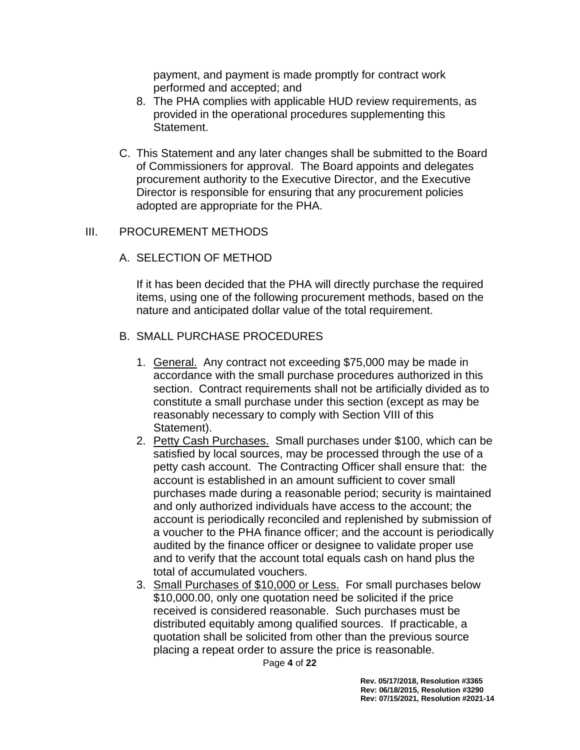payment, and payment is made promptly for contract work performed and accepted; and

- 8. The PHA complies with applicable HUD review requirements, as provided in the operational procedures supplementing this Statement.
- C. This Statement and any later changes shall be submitted to the Board of Commissioners for approval. The Board appoints and delegates procurement authority to the Executive Director, and the Executive Director is responsible for ensuring that any procurement policies adopted are appropriate for the PHA.

#### III. PROCUREMENT METHODS

#### A. SELECTION OF METHOD

If it has been decided that the PHA will directly purchase the required items, using one of the following procurement methods, based on the nature and anticipated dollar value of the total requirement.

#### B. SMALL PURCHASE PROCEDURES

- 1. General. Any contract not exceeding \$75,000 may be made in accordance with the small purchase procedures authorized in this section. Contract requirements shall not be artificially divided as to constitute a small purchase under this section (except as may be reasonably necessary to comply with Section VIII of this Statement).
- 2. Petty Cash Purchases. Small purchases under \$100, which can be satisfied by local sources, may be processed through the use of a petty cash account. The Contracting Officer shall ensure that: the account is established in an amount sufficient to cover small purchases made during a reasonable period; security is maintained and only authorized individuals have access to the account; the account is periodically reconciled and replenished by submission of a voucher to the PHA finance officer; and the account is periodically audited by the finance officer or designee to validate proper use and to verify that the account total equals cash on hand plus the total of accumulated vouchers.
- 3. Small Purchases of \$10,000 or Less. For small purchases below \$10,000.00, only one quotation need be solicited if the price received is considered reasonable. Such purchases must be distributed equitably among qualified sources. If practicable, a quotation shall be solicited from other than the previous source placing a repeat order to assure the price is reasonable.

Page **4** of **22**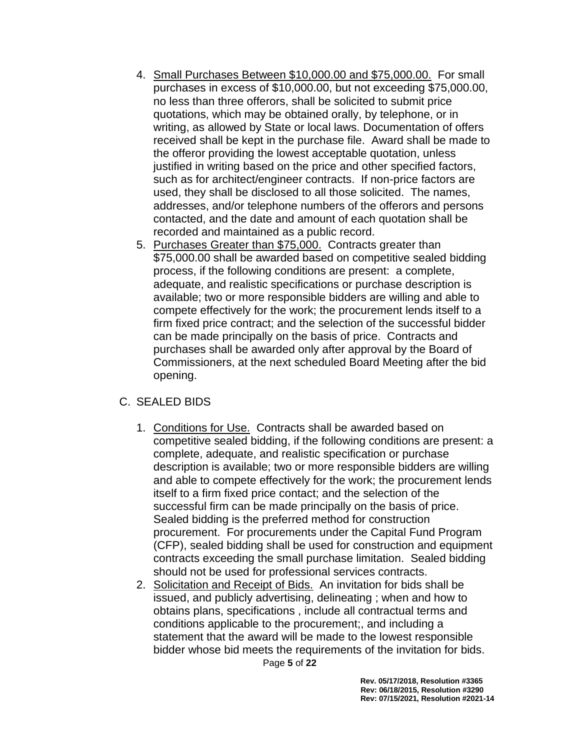- 4. Small Purchases Between \$10,000.00 and \$75,000.00. For small purchases in excess of \$10,000.00, but not exceeding \$75,000.00, no less than three offerors, shall be solicited to submit price quotations, which may be obtained orally, by telephone, or in writing, as allowed by State or local laws. Documentation of offers received shall be kept in the purchase file. Award shall be made to the offeror providing the lowest acceptable quotation, unless justified in writing based on the price and other specified factors, such as for architect/engineer contracts. If non-price factors are used, they shall be disclosed to all those solicited. The names, addresses, and/or telephone numbers of the offerors and persons contacted, and the date and amount of each quotation shall be recorded and maintained as a public record.
- 5. Purchases Greater than \$75,000. Contracts greater than \$75,000.00 shall be awarded based on competitive sealed bidding process, if the following conditions are present: a complete, adequate, and realistic specifications or purchase description is available; two or more responsible bidders are willing and able to compete effectively for the work; the procurement lends itself to a firm fixed price contract; and the selection of the successful bidder can be made principally on the basis of price. Contracts and purchases shall be awarded only after approval by the Board of Commissioners, at the next scheduled Board Meeting after the bid opening.

#### C. SEALED BIDS

- 1. Conditions for Use. Contracts shall be awarded based on competitive sealed bidding, if the following conditions are present: a complete, adequate, and realistic specification or purchase description is available; two or more responsible bidders are willing and able to compete effectively for the work; the procurement lends itself to a firm fixed price contact; and the selection of the successful firm can be made principally on the basis of price. Sealed bidding is the preferred method for construction procurement. For procurements under the Capital Fund Program (CFP), sealed bidding shall be used for construction and equipment contracts exceeding the small purchase limitation. Sealed bidding should not be used for professional services contracts.
- 2. Solicitation and Receipt of Bids. An invitation for bids shall be issued, and publicly advertising, delineating ; when and how to obtains plans, specifications , include all contractual terms and conditions applicable to the procurement;, and including a statement that the award will be made to the lowest responsible bidder whose bid meets the requirements of the invitation for bids.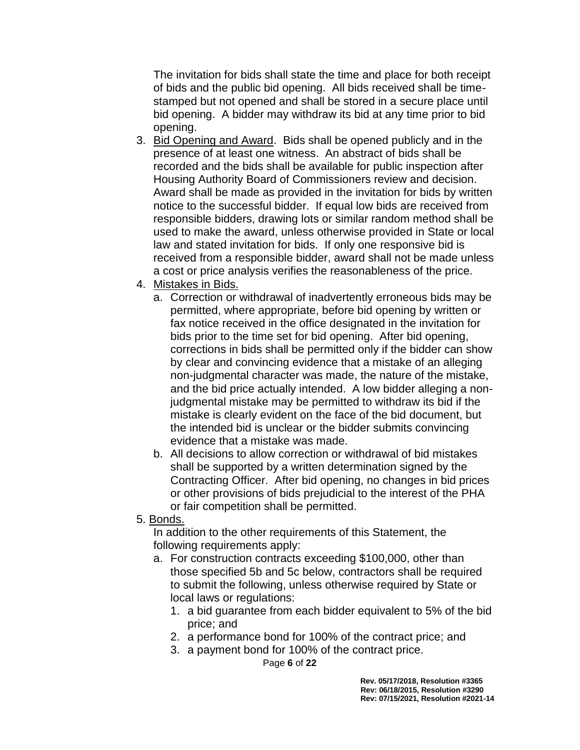The invitation for bids shall state the time and place for both receipt of bids and the public bid opening. All bids received shall be timestamped but not opened and shall be stored in a secure place until bid opening. A bidder may withdraw its bid at any time prior to bid opening.

- 3. Bid Opening and Award. Bids shall be opened publicly and in the presence of at least one witness. An abstract of bids shall be recorded and the bids shall be available for public inspection after Housing Authority Board of Commissioners review and decision. Award shall be made as provided in the invitation for bids by written notice to the successful bidder. If equal low bids are received from responsible bidders, drawing lots or similar random method shall be used to make the award, unless otherwise provided in State or local law and stated invitation for bids. If only one responsive bid is received from a responsible bidder, award shall not be made unless a cost or price analysis verifies the reasonableness of the price.
- 4. Mistakes in Bids.
	- a. Correction or withdrawal of inadvertently erroneous bids may be permitted, where appropriate, before bid opening by written or fax notice received in the office designated in the invitation for bids prior to the time set for bid opening. After bid opening, corrections in bids shall be permitted only if the bidder can show by clear and convincing evidence that a mistake of an alleging non-judgmental character was made, the nature of the mistake, and the bid price actually intended. A low bidder alleging a nonjudgmental mistake may be permitted to withdraw its bid if the mistake is clearly evident on the face of the bid document, but the intended bid is unclear or the bidder submits convincing evidence that a mistake was made.
	- b. All decisions to allow correction or withdrawal of bid mistakes shall be supported by a written determination signed by the Contracting Officer. After bid opening, no changes in bid prices or other provisions of bids prejudicial to the interest of the PHA or fair competition shall be permitted.
- 5. Bonds.

In addition to the other requirements of this Statement, the following requirements apply:

- a. For construction contracts exceeding \$100,000, other than those specified 5b and 5c below, contractors shall be required to submit the following, unless otherwise required by State or local laws or regulations:
	- 1. a bid guarantee from each bidder equivalent to 5% of the bid price; and
	- 2. a performance bond for 100% of the contract price; and
	- 3. a payment bond for 100% of the contract price.

Page **6** of **22**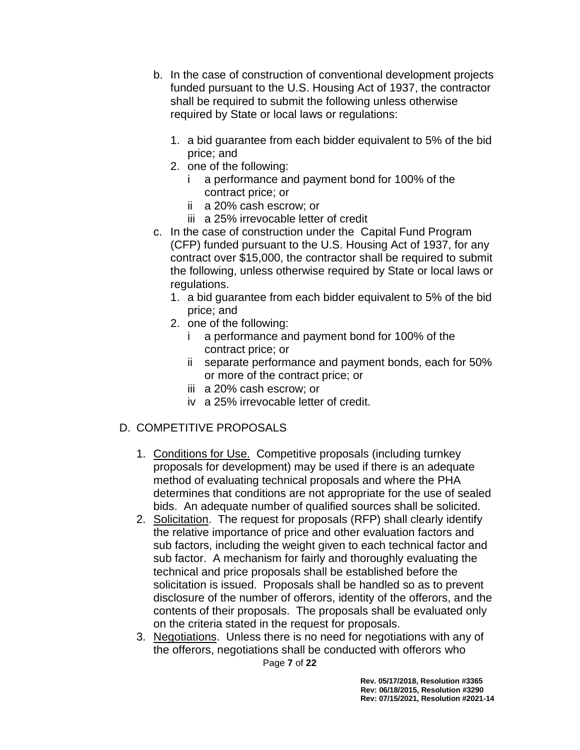- b. In the case of construction of conventional development projects funded pursuant to the U.S. Housing Act of 1937, the contractor shall be required to submit the following unless otherwise required by State or local laws or regulations:
	- 1. a bid guarantee from each bidder equivalent to 5% of the bid price; and
	- 2. one of the following:
		- i a performance and payment bond for 100% of the contract price; or
		- ii a 20% cash escrow; or
		- iii a 25% irrevocable letter of credit
- c. In the case of construction under the Capital Fund Program (CFP) funded pursuant to the U.S. Housing Act of 1937, for any contract over \$15,000, the contractor shall be required to submit the following, unless otherwise required by State or local laws or regulations.
	- 1. a bid guarantee from each bidder equivalent to 5% of the bid price; and
	- 2. one of the following:
		- i a performance and payment bond for 100% of the contract price; or
		- ii separate performance and payment bonds, each for 50% or more of the contract price; or
		- iii a 20% cash escrow; or
		- iv a 25% irrevocable letter of credit.

# D. COMPETITIVE PROPOSALS

- 1. Conditions for Use. Competitive proposals (including turnkey proposals for development) may be used if there is an adequate method of evaluating technical proposals and where the PHA determines that conditions are not appropriate for the use of sealed bids. An adequate number of qualified sources shall be solicited.
- 2. Solicitation. The request for proposals (RFP) shall clearly identify the relative importance of price and other evaluation factors and sub factors, including the weight given to each technical factor and sub factor. A mechanism for fairly and thoroughly evaluating the technical and price proposals shall be established before the solicitation is issued. Proposals shall be handled so as to prevent disclosure of the number of offerors, identity of the offerors, and the contents of their proposals. The proposals shall be evaluated only on the criteria stated in the request for proposals.
- 3. Negotiations. Unless there is no need for negotiations with any of the offerors, negotiations shall be conducted with offerors who

Page **7** of **22**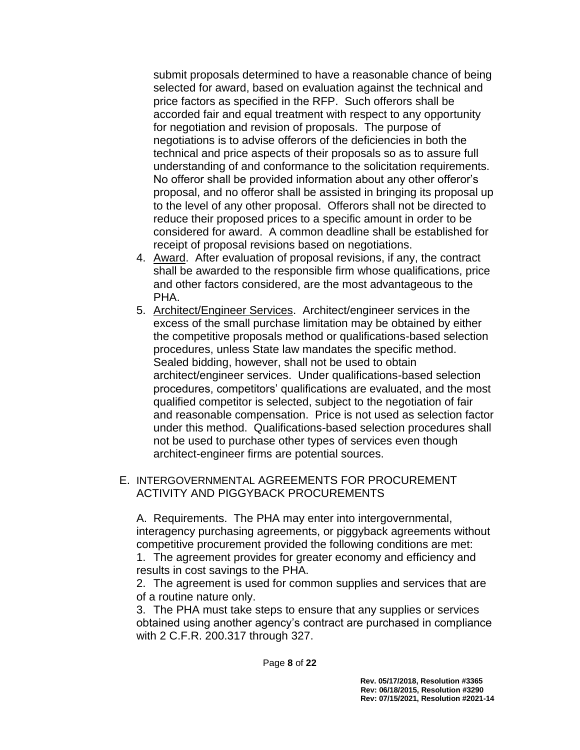submit proposals determined to have a reasonable chance of being selected for award, based on evaluation against the technical and price factors as specified in the RFP. Such offerors shall be accorded fair and equal treatment with respect to any opportunity for negotiation and revision of proposals. The purpose of negotiations is to advise offerors of the deficiencies in both the technical and price aspects of their proposals so as to assure full understanding of and conformance to the solicitation requirements. No offeror shall be provided information about any other offeror's proposal, and no offeror shall be assisted in bringing its proposal up to the level of any other proposal. Offerors shall not be directed to reduce their proposed prices to a specific amount in order to be considered for award. A common deadline shall be established for receipt of proposal revisions based on negotiations.

- 4. Award. After evaluation of proposal revisions, if any, the contract shall be awarded to the responsible firm whose qualifications, price and other factors considered, are the most advantageous to the PHA.
- 5. Architect/Engineer Services. Architect/engineer services in the excess of the small purchase limitation may be obtained by either the competitive proposals method or qualifications-based selection procedures, unless State law mandates the specific method. Sealed bidding, however, shall not be used to obtain architect/engineer services. Under qualifications-based selection procedures, competitors' qualifications are evaluated, and the most qualified competitor is selected, subject to the negotiation of fair and reasonable compensation. Price is not used as selection factor under this method. Qualifications-based selection procedures shall not be used to purchase other types of services even though architect-engineer firms are potential sources.

#### E. INTERGOVERNMENTAL AGREEMENTS FOR PROCUREMENT ACTIVITY AND PIGGYBACK PROCUREMENTS

A. Requirements. The PHA may enter into intergovernmental, interagency purchasing agreements, or piggyback agreements without competitive procurement provided the following conditions are met: 1. The agreement provides for greater economy and efficiency and results in cost savings to the PHA.

2. The agreement is used for common supplies and services that are of a routine nature only.

3. The PHA must take steps to ensure that any supplies or services obtained using another agency's contract are purchased in compliance with 2 C.F.R. 200.317 through 327.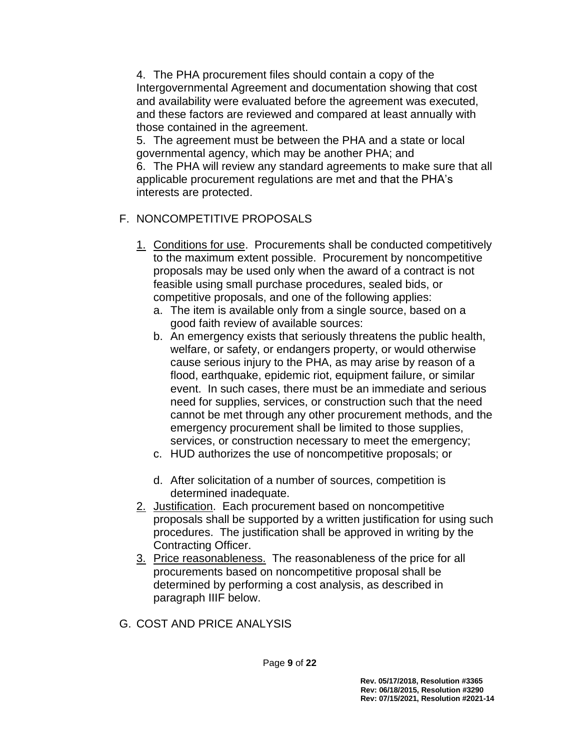4. The PHA procurement files should contain a copy of the Intergovernmental Agreement and documentation showing that cost and availability were evaluated before the agreement was executed, and these factors are reviewed and compared at least annually with those contained in the agreement.

5. The agreement must be between the PHA and a state or local governmental agency, which may be another PHA; and

6. The PHA will review any standard agreements to make sure that all applicable procurement regulations are met and that the PHA's interests are protected.

# F. NONCOMPETITIVE PROPOSALS

- 1. Conditions for use. Procurements shall be conducted competitively to the maximum extent possible. Procurement by noncompetitive proposals may be used only when the award of a contract is not feasible using small purchase procedures, sealed bids, or competitive proposals, and one of the following applies:
	- a. The item is available only from a single source, based on a good faith review of available sources:
	- b. An emergency exists that seriously threatens the public health, welfare, or safety, or endangers property, or would otherwise cause serious injury to the PHA, as may arise by reason of a flood, earthquake, epidemic riot, equipment failure, or similar event. In such cases, there must be an immediate and serious need for supplies, services, or construction such that the need cannot be met through any other procurement methods, and the emergency procurement shall be limited to those supplies, services, or construction necessary to meet the emergency;
	- c. HUD authorizes the use of noncompetitive proposals; or
	- d. After solicitation of a number of sources, competition is determined inadequate.
- 2. Justification. Each procurement based on noncompetitive proposals shall be supported by a written justification for using such procedures. The justification shall be approved in writing by the Contracting Officer.
- 3. Price reasonableness. The reasonableness of the price for all procurements based on noncompetitive proposal shall be determined by performing a cost analysis, as described in paragraph IIIF below.

# G. COST AND PRICE ANALYSIS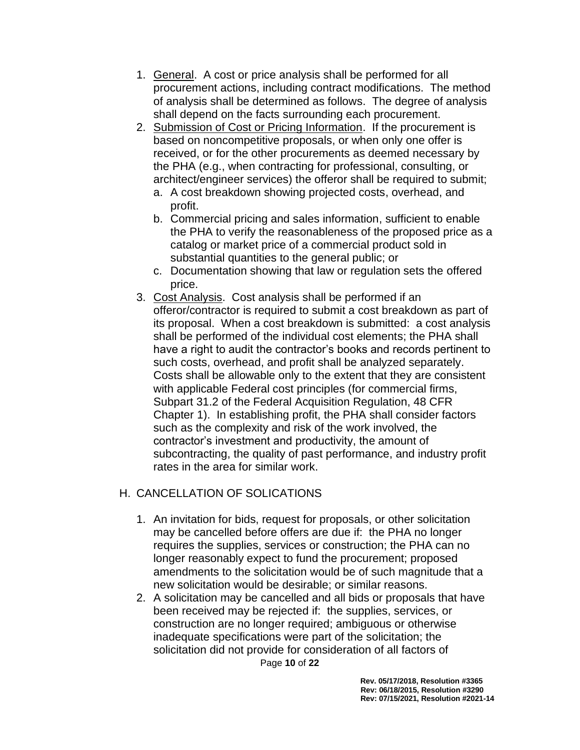- 1. General. A cost or price analysis shall be performed for all procurement actions, including contract modifications. The method of analysis shall be determined as follows. The degree of analysis shall depend on the facts surrounding each procurement.
- 2. Submission of Cost or Pricing Information. If the procurement is based on noncompetitive proposals, or when only one offer is received, or for the other procurements as deemed necessary by the PHA (e.g., when contracting for professional, consulting, or architect/engineer services) the offeror shall be required to submit;
	- a. A cost breakdown showing projected costs, overhead, and profit.
	- b. Commercial pricing and sales information, sufficient to enable the PHA to verify the reasonableness of the proposed price as a catalog or market price of a commercial product sold in substantial quantities to the general public; or
	- c. Documentation showing that law or regulation sets the offered price.
- 3. Cost Analysis. Cost analysis shall be performed if an offeror/contractor is required to submit a cost breakdown as part of its proposal. When a cost breakdown is submitted: a cost analysis shall be performed of the individual cost elements; the PHA shall have a right to audit the contractor's books and records pertinent to such costs, overhead, and profit shall be analyzed separately. Costs shall be allowable only to the extent that they are consistent with applicable Federal cost principles (for commercial firms, Subpart 31.2 of the Federal Acquisition Regulation, 48 CFR Chapter 1). In establishing profit, the PHA shall consider factors such as the complexity and risk of the work involved, the contractor's investment and productivity, the amount of subcontracting, the quality of past performance, and industry profit rates in the area for similar work.

# H. CANCELLATION OF SOLICATIONS

- 1. An invitation for bids, request for proposals, or other solicitation may be cancelled before offers are due if: the PHA no longer requires the supplies, services or construction; the PHA can no longer reasonably expect to fund the procurement; proposed amendments to the solicitation would be of such magnitude that a new solicitation would be desirable; or similar reasons.
- Page **10** of **22** 2. A solicitation may be cancelled and all bids or proposals that have been received may be rejected if: the supplies, services, or construction are no longer required; ambiguous or otherwise inadequate specifications were part of the solicitation; the solicitation did not provide for consideration of all factors of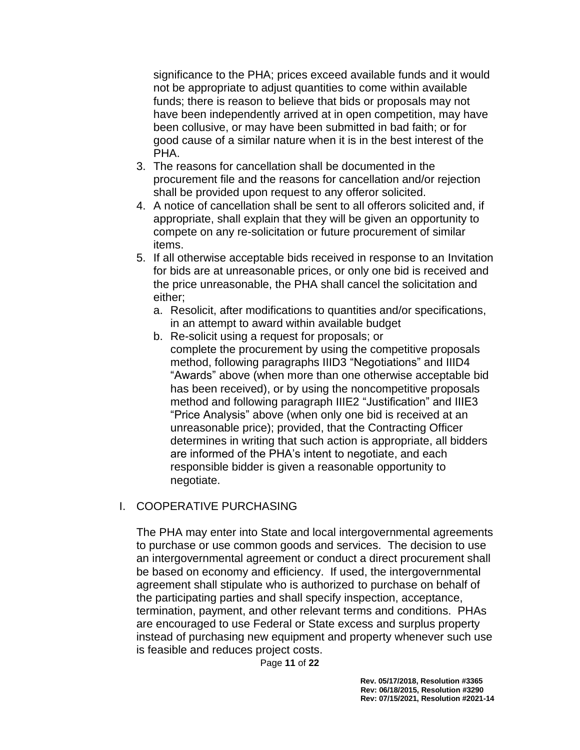significance to the PHA; prices exceed available funds and it would not be appropriate to adjust quantities to come within available funds; there is reason to believe that bids or proposals may not have been independently arrived at in open competition, may have been collusive, or may have been submitted in bad faith; or for good cause of a similar nature when it is in the best interest of the PHA.

- 3. The reasons for cancellation shall be documented in the procurement file and the reasons for cancellation and/or rejection shall be provided upon request to any offeror solicited.
- 4. A notice of cancellation shall be sent to all offerors solicited and, if appropriate, shall explain that they will be given an opportunity to compete on any re-solicitation or future procurement of similar items.
- 5. If all otherwise acceptable bids received in response to an Invitation for bids are at unreasonable prices, or only one bid is received and the price unreasonable, the PHA shall cancel the solicitation and either;
	- a. Resolicit, after modifications to quantities and/or specifications, in an attempt to award within available budget
	- b. Re-solicit using a request for proposals; or complete the procurement by using the competitive proposals method, following paragraphs IIID3 "Negotiations" and IIID4 "Awards" above (when more than one otherwise acceptable bid has been received), or by using the noncompetitive proposals method and following paragraph IIIE2 "Justification" and IIIE3 "Price Analysis" above (when only one bid is received at an unreasonable price); provided, that the Contracting Officer determines in writing that such action is appropriate, all bidders are informed of the PHA's intent to negotiate, and each responsible bidder is given a reasonable opportunity to negotiate.

#### I. COOPERATIVE PURCHASING

The PHA may enter into State and local intergovernmental agreements to purchase or use common goods and services. The decision to use an intergovernmental agreement or conduct a direct procurement shall be based on economy and efficiency. If used, the intergovernmental agreement shall stipulate who is authorized to purchase on behalf of the participating parties and shall specify inspection, acceptance, termination, payment, and other relevant terms and conditions. PHAs are encouraged to use Federal or State excess and surplus property instead of purchasing new equipment and property whenever such use is feasible and reduces project costs.

Page **11** of **22**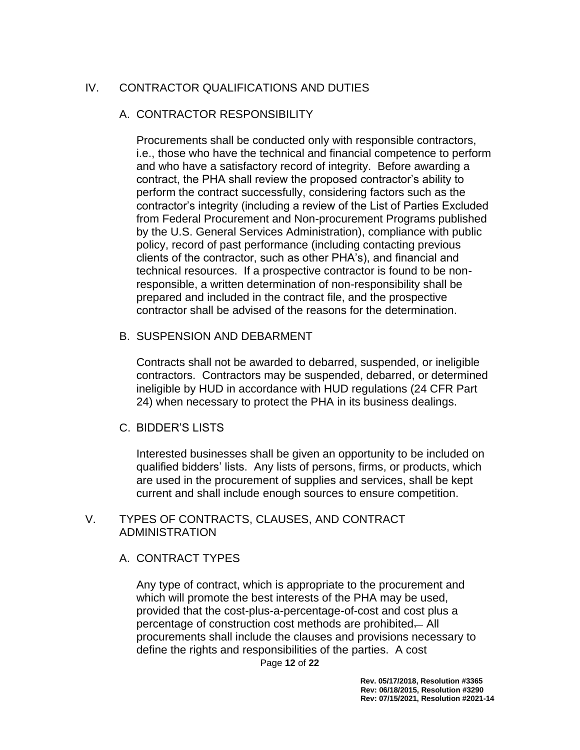## IV. CONTRACTOR QUALIFICATIONS AND DUTIES

#### A. CONTRACTOR RESPONSIBILITY

Procurements shall be conducted only with responsible contractors, i.e., those who have the technical and financial competence to perform and who have a satisfactory record of integrity. Before awarding a contract, the PHA shall review the proposed contractor's ability to perform the contract successfully, considering factors such as the contractor's integrity (including a review of the List of Parties Excluded from Federal Procurement and Non-procurement Programs published by the U.S. General Services Administration), compliance with public policy, record of past performance (including contacting previous clients of the contractor, such as other PHA's), and financial and technical resources. If a prospective contractor is found to be nonresponsible, a written determination of non-responsibility shall be prepared and included in the contract file, and the prospective contractor shall be advised of the reasons for the determination.

#### B. SUSPENSION AND DEBARMENT

Contracts shall not be awarded to debarred, suspended, or ineligible contractors. Contractors may be suspended, debarred, or determined ineligible by HUD in accordance with HUD regulations (24 CFR Part 24) when necessary to protect the PHA in its business dealings.

#### C. BIDDER'S LISTS

Interested businesses shall be given an opportunity to be included on qualified bidders' lists. Any lists of persons, firms, or products, which are used in the procurement of supplies and services, shall be kept current and shall include enough sources to ensure competition.

#### V. TYPES OF CONTRACTS, CLAUSES, AND CONTRACT ADMINISTRATION

#### A. CONTRACT TYPES

Any type of contract, which is appropriate to the procurement and which will promote the best interests of the PHA may be used, provided that the cost-plus-a-percentage-of-cost and cost plus a percentage of construction cost methods are prohibited. All procurements shall include the clauses and provisions necessary to define the rights and responsibilities of the parties. A cost

Page **12** of **22**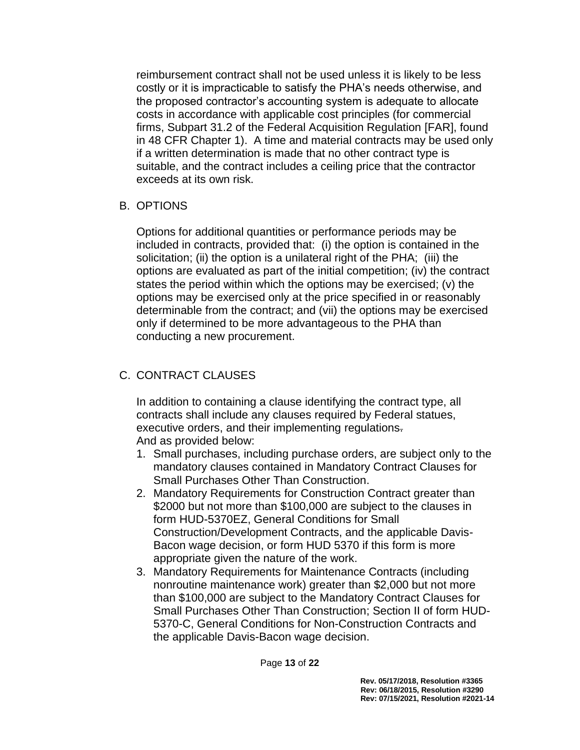reimbursement contract shall not be used unless it is likely to be less costly or it is impracticable to satisfy the PHA's needs otherwise, and the proposed contractor's accounting system is adequate to allocate costs in accordance with applicable cost principles (for commercial firms, Subpart 31.2 of the Federal Acquisition Regulation [FAR], found in 48 CFR Chapter 1). A time and material contracts may be used only if a written determination is made that no other contract type is suitable, and the contract includes a ceiling price that the contractor exceeds at its own risk.

#### B. OPTIONS

Options for additional quantities or performance periods may be included in contracts, provided that: (i) the option is contained in the solicitation; (ii) the option is a unilateral right of the PHA; (iii) the options are evaluated as part of the initial competition; (iv) the contract states the period within which the options may be exercised; (v) the options may be exercised only at the price specified in or reasonably determinable from the contract; and (vii) the options may be exercised only if determined to be more advantageous to the PHA than conducting a new procurement.

# C. CONTRACT CLAUSES

In addition to containing a clause identifying the contract type, all contracts shall include any clauses required by Federal statues, executive orders, and their implementing regulations. And as provided below:

- 1. Small purchases, including purchase orders, are subject only to the mandatory clauses contained in Mandatory Contract Clauses for Small Purchases Other Than Construction.
- 2. Mandatory Requirements for Construction Contract greater than \$2000 but not more than \$100,000 are subject to the clauses in form HUD-5370EZ, General Conditions for Small Construction/Development Contracts, and the applicable Davis-Bacon wage decision, or form HUD 5370 if this form is more appropriate given the nature of the work.
- 3. Mandatory Requirements for Maintenance Contracts (including nonroutine maintenance work) greater than \$2,000 but not more than \$100,000 are subject to the Mandatory Contract Clauses for Small Purchases Other Than Construction; Section II of form HUD-5370-C, General Conditions for Non-Construction Contracts and the applicable Davis-Bacon wage decision.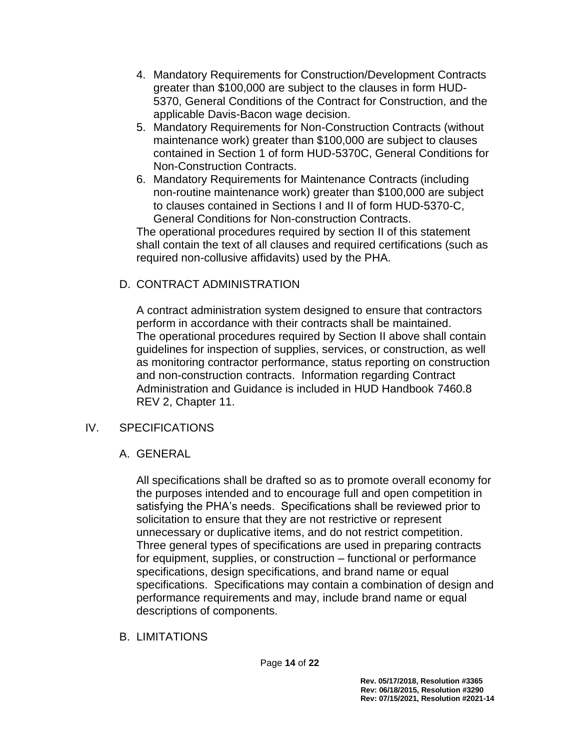- 4. Mandatory Requirements for Construction/Development Contracts greater than \$100,000 are subject to the clauses in form HUD-5370, General Conditions of the Contract for Construction, and the applicable Davis-Bacon wage decision.
- 5. Mandatory Requirements for Non-Construction Contracts (without maintenance work) greater than \$100,000 are subject to clauses contained in Section 1 of form HUD-5370C, General Conditions for Non-Construction Contracts.
- 6. Mandatory Requirements for Maintenance Contracts (including non-routine maintenance work) greater than \$100,000 are subject to clauses contained in Sections I and II of form HUD-5370-C, General Conditions for Non-construction Contracts.

The operational procedures required by section II of this statement shall contain the text of all clauses and required certifications (such as required non-collusive affidavits) used by the PHA.

# D. CONTRACT ADMINISTRATION

A contract administration system designed to ensure that contractors perform in accordance with their contracts shall be maintained. The operational procedures required by Section II above shall contain guidelines for inspection of supplies, services, or construction, as well as monitoring contractor performance, status reporting on construction and non-construction contracts. Information regarding Contract Administration and Guidance is included in HUD Handbook 7460.8 REV 2, Chapter 11.

# IV. SPECIFICATIONS

# A. GENERAL

All specifications shall be drafted so as to promote overall economy for the purposes intended and to encourage full and open competition in satisfying the PHA's needs. Specifications shall be reviewed prior to solicitation to ensure that they are not restrictive or represent unnecessary or duplicative items, and do not restrict competition. Three general types of specifications are used in preparing contracts for equipment, supplies, or construction – functional or performance specifications, design specifications, and brand name or equal specifications. Specifications may contain a combination of design and performance requirements and may, include brand name or equal descriptions of components.

B. LIMITATIONS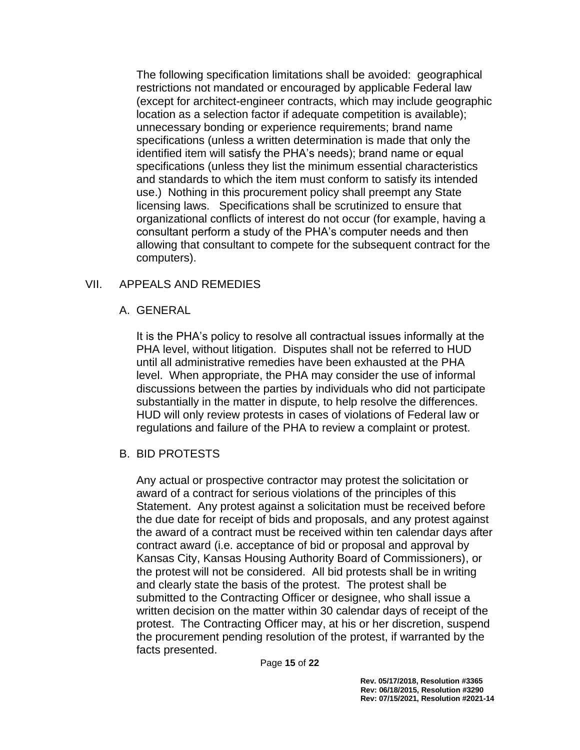The following specification limitations shall be avoided: geographical restrictions not mandated or encouraged by applicable Federal law (except for architect-engineer contracts, which may include geographic location as a selection factor if adequate competition is available); unnecessary bonding or experience requirements; brand name specifications (unless a written determination is made that only the identified item will satisfy the PHA's needs); brand name or equal specifications (unless they list the minimum essential characteristics and standards to which the item must conform to satisfy its intended use.) Nothing in this procurement policy shall preempt any State licensing laws. Specifications shall be scrutinized to ensure that organizational conflicts of interest do not occur (for example, having a consultant perform a study of the PHA's computer needs and then allowing that consultant to compete for the subsequent contract for the computers).

#### VII. APPEALS AND REMEDIES

#### A. GENERAL

It is the PHA's policy to resolve all contractual issues informally at the PHA level, without litigation. Disputes shall not be referred to HUD until all administrative remedies have been exhausted at the PHA level. When appropriate, the PHA may consider the use of informal discussions between the parties by individuals who did not participate substantially in the matter in dispute, to help resolve the differences. HUD will only review protests in cases of violations of Federal law or regulations and failure of the PHA to review a complaint or protest.

#### B. BID PROTESTS

Any actual or prospective contractor may protest the solicitation or award of a contract for serious violations of the principles of this Statement. Any protest against a solicitation must be received before the due date for receipt of bids and proposals, and any protest against the award of a contract must be received within ten calendar days after contract award (i.e. acceptance of bid or proposal and approval by Kansas City, Kansas Housing Authority Board of Commissioners), or the protest will not be considered. All bid protests shall be in writing and clearly state the basis of the protest. The protest shall be submitted to the Contracting Officer or designee, who shall issue a written decision on the matter within 30 calendar days of receipt of the protest. The Contracting Officer may, at his or her discretion, suspend the procurement pending resolution of the protest, if warranted by the facts presented.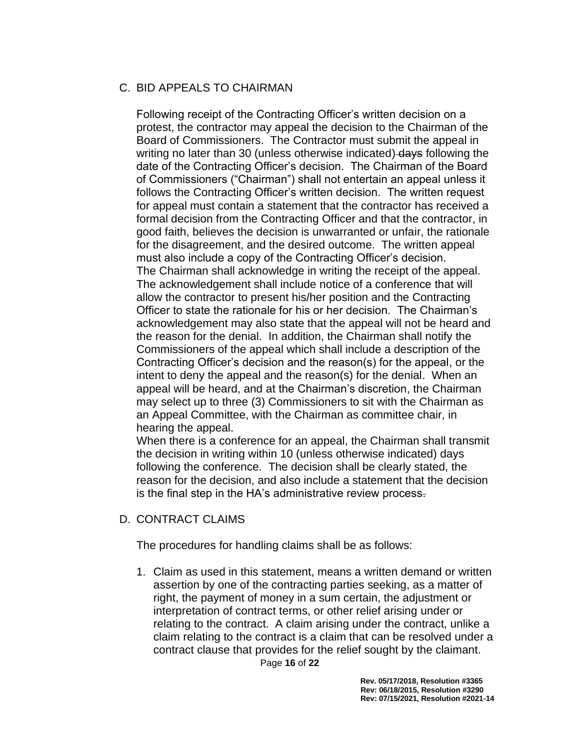## C. BID APPEALS TO CHAIRMAN

Following receipt of the Contracting Officer's written decision on a protest, the contractor may appeal the decision to the Chairman of the Board of Commissioners. The Contractor must submit the appeal in writing no later than 30 (unless otherwise indicated) days following the date of the Contracting Officer's decision. The Chairman of the Board of Commissioners ("Chairman") shall not entertain an appeal unless it follows the Contracting Officer's written decision. The written request for appeal must contain a statement that the contractor has received a formal decision from the Contracting Officer and that the contractor, in good faith, believes the decision is unwarranted or unfair, the rationale for the disagreement, and the desired outcome. The written appeal must also include a copy of the Contracting Officer's decision. The Chairman shall acknowledge in writing the receipt of the appeal. The acknowledgement shall include notice of a conference that will allow the contractor to present his/her position and the Contracting Officer to state the rationale for his or her decision. The Chairman's acknowledgement may also state that the appeal will not be heard and the reason for the denial. In addition, the Chairman shall notify the Commissioners of the appeal which shall include a description of the Contracting Officer's decision and the reason(s) for the appeal, or the intent to deny the appeal and the reason(s) for the denial. When an appeal will be heard, and at the Chairman's discretion, the Chairman may select up to three (3) Commissioners to sit with the Chairman as an Appeal Committee, with the Chairman as committee chair, in hearing the appeal.

When there is a conference for an appeal, the Chairman shall transmit the decision in writing within 10 (unless otherwise indicated) days following the conference. The decision shall be clearly stated, the reason for the decision, and also include a statement that the decision is the final step in the HA's administrative review process.

#### D. CONTRACT CLAIMS

The procedures for handling claims shall be as follows:

1. Claim as used in this statement, means a written demand or written assertion by one of the contracting parties seeking, as a matter of right, the payment of money in a sum certain, the adjustment or interpretation of contract terms, or other relief arising under or relating to the contract. A claim arising under the contract, unlike a claim relating to the contract is a claim that can be resolved under a contract clause that provides for the relief sought by the claimant.

Page **16** of **22**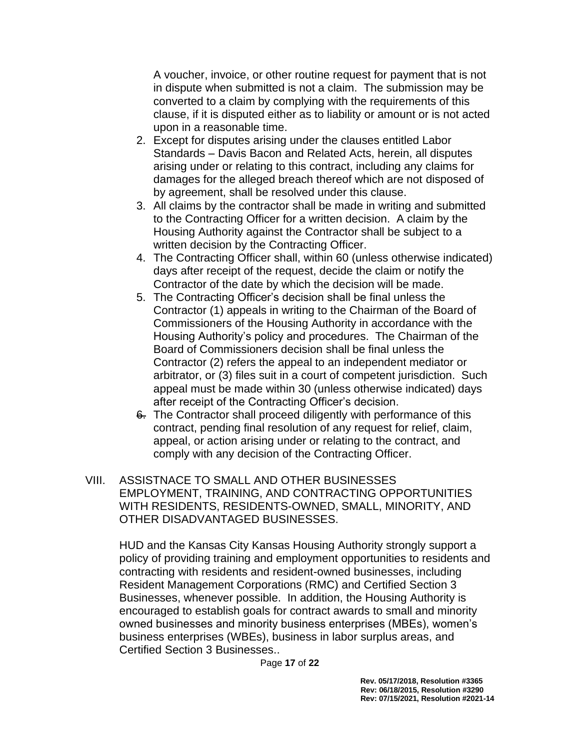A voucher, invoice, or other routine request for payment that is not in dispute when submitted is not a claim. The submission may be converted to a claim by complying with the requirements of this clause, if it is disputed either as to liability or amount or is not acted upon in a reasonable time.

- 2. Except for disputes arising under the clauses entitled Labor Standards – Davis Bacon and Related Acts, herein, all disputes arising under or relating to this contract, including any claims for damages for the alleged breach thereof which are not disposed of by agreement, shall be resolved under this clause.
- 3. All claims by the contractor shall be made in writing and submitted to the Contracting Officer for a written decision. A claim by the Housing Authority against the Contractor shall be subject to a written decision by the Contracting Officer.
- 4. The Contracting Officer shall, within 60 (unless otherwise indicated) days after receipt of the request, decide the claim or notify the Contractor of the date by which the decision will be made.
- 5. The Contracting Officer's decision shall be final unless the Contractor (1) appeals in writing to the Chairman of the Board of Commissioners of the Housing Authority in accordance with the Housing Authority's policy and procedures. The Chairman of the Board of Commissioners decision shall be final unless the Contractor (2) refers the appeal to an independent mediator or arbitrator, or (3) files suit in a court of competent jurisdiction. Such appeal must be made within 30 (unless otherwise indicated) days after receipt of the Contracting Officer's decision.
- 6. The Contractor shall proceed diligently with performance of this contract, pending final resolution of any request for relief, claim, appeal, or action arising under or relating to the contract, and comply with any decision of the Contracting Officer.
- VIII. ASSISTNACE TO SMALL AND OTHER BUSINESSES EMPLOYMENT, TRAINING, AND CONTRACTING OPPORTUNITIES WITH RESIDENTS, RESIDENTS-OWNED, SMALL, MINORITY, AND OTHER DISADVANTAGED BUSINESSES.

HUD and the Kansas City Kansas Housing Authority strongly support a policy of providing training and employment opportunities to residents and contracting with residents and resident-owned businesses, including Resident Management Corporations (RMC) and Certified Section 3 Businesses, whenever possible. In addition, the Housing Authority is encouraged to establish goals for contract awards to small and minority owned businesses and minority business enterprises (MBEs), women's business enterprises (WBEs), business in labor surplus areas, and Certified Section 3 Businesses..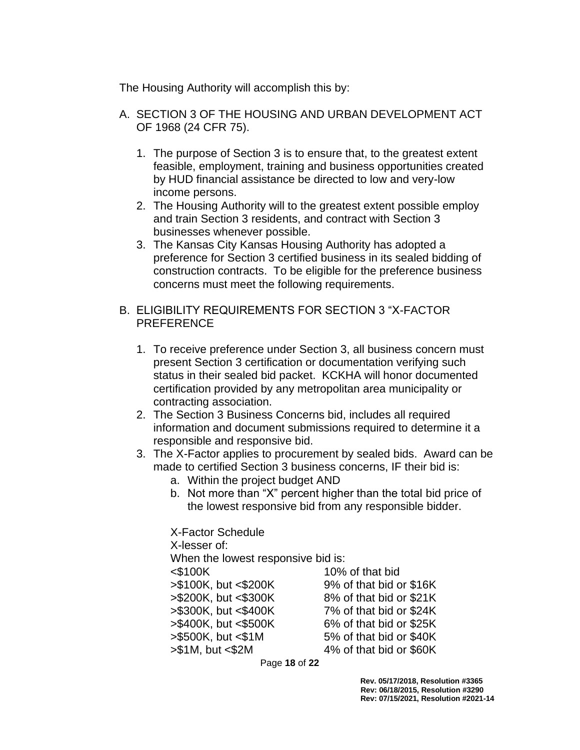The Housing Authority will accomplish this by:

- A. SECTION 3 OF THE HOUSING AND URBAN DEVELOPMENT ACT OF 1968 (24 CFR 75).
	- 1. The purpose of Section 3 is to ensure that, to the greatest extent feasible, employment, training and business opportunities created by HUD financial assistance be directed to low and very-low income persons.
	- 2. The Housing Authority will to the greatest extent possible employ and train Section 3 residents, and contract with Section 3 businesses whenever possible.
	- 3. The Kansas City Kansas Housing Authority has adopted a preference for Section 3 certified business in its sealed bidding of construction contracts. To be eligible for the preference business concerns must meet the following requirements.
- B. ELIGIBILITY REQUIREMENTS FOR SECTION 3 "X-FACTOR PREFERENCE
	- 1. To receive preference under Section 3, all business concern must present Section 3 certification or documentation verifying such status in their sealed bid packet. KCKHA will honor documented certification provided by any metropolitan area municipality or contracting association.
	- 2. The Section 3 Business Concerns bid, includes all required information and document submissions required to determine it a responsible and responsive bid.
	- 3. The X-Factor applies to procurement by sealed bids. Award can be made to certified Section 3 business concerns, IF their bid is:
		- a. Within the project budget AND
		- b. Not more than "X" percent higher than the total bid price of the lowest responsive bid from any responsible bidder.

X-Factor Schedule X-lesser of: When the lowest responsive bid is: <\$100K 10% of that bid >\$100K, but <\$200K 9% of that bid or \$16K >\$200K, but <\$300K 8% of that bid or \$21K >\$300K, but <\$400K 7% of that bid or \$24K >\$400K, but <\$500K 6% of that bid or \$25K >\$500K, but <\$1M 5% of that bid or \$40K >\$1M, but <\$2M 4% of that bid or \$60K

Page **18** of **22**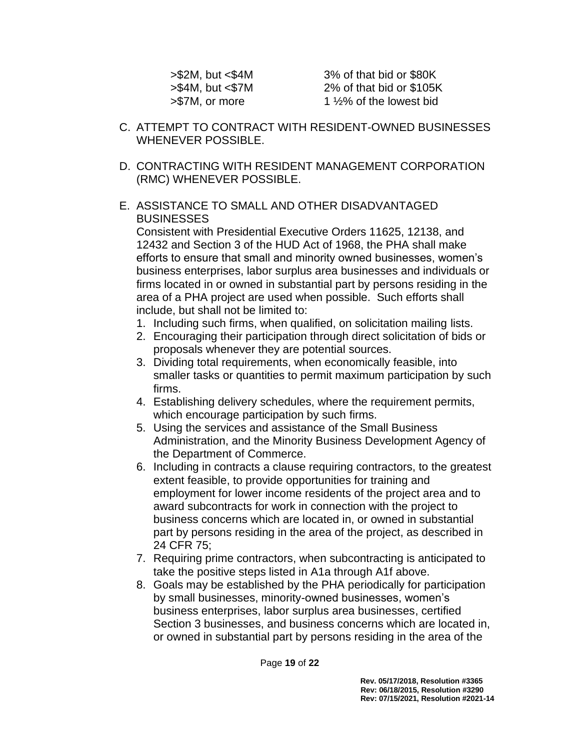>\$2M, but <\$4M 3% of that bid or \$80K >\$4M, but <\$7M 2% of that bid or \$105K  $> $7M$ , or more 1  $\frac{1}{2}\%$  of the lowest bid

- C. ATTEMPT TO CONTRACT WITH RESIDENT-OWNED BUSINESSES WHENEVER POSSIBLE.
- D. CONTRACTING WITH RESIDENT MANAGEMENT CORPORATION (RMC) WHENEVER POSSIBLE.

### E. ASSISTANCE TO SMALL AND OTHER DISADVANTAGED **BUSINESSES**

Consistent with Presidential Executive Orders 11625, 12138, and 12432 and Section 3 of the HUD Act of 1968, the PHA shall make efforts to ensure that small and minority owned businesses, women's business enterprises, labor surplus area businesses and individuals or firms located in or owned in substantial part by persons residing in the area of a PHA project are used when possible. Such efforts shall include, but shall not be limited to:

- 1. Including such firms, when qualified, on solicitation mailing lists.
- 2. Encouraging their participation through direct solicitation of bids or proposals whenever they are potential sources.
- 3. Dividing total requirements, when economically feasible, into smaller tasks or quantities to permit maximum participation by such firms.
- 4. Establishing delivery schedules, where the requirement permits, which encourage participation by such firms.
- 5. Using the services and assistance of the Small Business Administration, and the Minority Business Development Agency of the Department of Commerce.
- 6. Including in contracts a clause requiring contractors, to the greatest extent feasible, to provide opportunities for training and employment for lower income residents of the project area and to award subcontracts for work in connection with the project to business concerns which are located in, or owned in substantial part by persons residing in the area of the project, as described in 24 CFR 75;
- 7. Requiring prime contractors, when subcontracting is anticipated to take the positive steps listed in A1a through A1f above.
- 8. Goals may be established by the PHA periodically for participation by small businesses, minority-owned businesses, women's business enterprises, labor surplus area businesses, certified Section 3 businesses, and business concerns which are located in, or owned in substantial part by persons residing in the area of the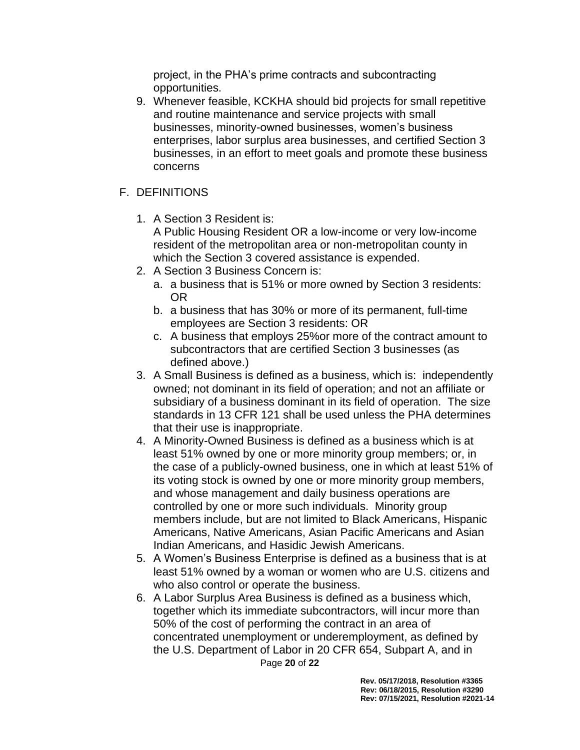project, in the PHA's prime contracts and subcontracting opportunities.

9. Whenever feasible, KCKHA should bid projects for small repetitive and routine maintenance and service projects with small businesses, minority-owned businesses, women's business enterprises, labor surplus area businesses, and certified Section 3 businesses, in an effort to meet goals and promote these business concerns

# F. DEFINITIONS

1. A Section 3 Resident is:

A Public Housing Resident OR a low-income or very low-income resident of the metropolitan area or non-metropolitan county in which the Section 3 covered assistance is expended.

- 2. A Section 3 Business Concern is:
	- a. a business that is 51% or more owned by Section 3 residents: OR
	- b. a business that has 30% or more of its permanent, full-time employees are Section 3 residents: OR
	- c. A business that employs 25%or more of the contract amount to subcontractors that are certified Section 3 businesses (as defined above.)
- 3. A Small Business is defined as a business, which is: independently owned; not dominant in its field of operation; and not an affiliate or subsidiary of a business dominant in its field of operation. The size standards in 13 CFR 121 shall be used unless the PHA determines that their use is inappropriate.
- 4. A Minority-Owned Business is defined as a business which is at least 51% owned by one or more minority group members; or, in the case of a publicly-owned business, one in which at least 51% of its voting stock is owned by one or more minority group members, and whose management and daily business operations are controlled by one or more such individuals. Minority group members include, but are not limited to Black Americans, Hispanic Americans, Native Americans, Asian Pacific Americans and Asian Indian Americans, and Hasidic Jewish Americans.
- 5. A Women's Business Enterprise is defined as a business that is at least 51% owned by a woman or women who are U.S. citizens and who also control or operate the business.
- Page **20** of **22** 6. A Labor Surplus Area Business is defined as a business which, together which its immediate subcontractors, will incur more than 50% of the cost of performing the contract in an area of concentrated unemployment or underemployment, as defined by the U.S. Department of Labor in 20 CFR 654, Subpart A, and in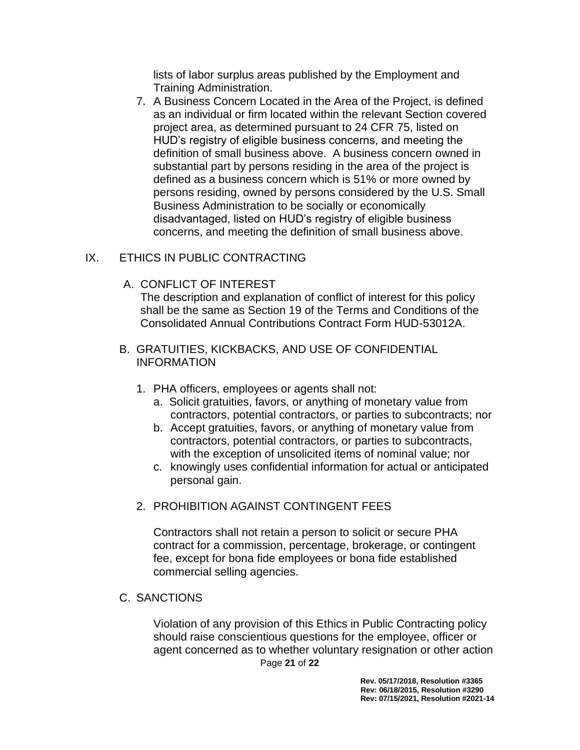lists of labor surplus areas published by the Employment and Training Administration.

7. A Business Concern Located in the Area of the Project, is defined as an individual or firm located within the relevant Section covered project area, as determined pursuant to 24 CFR 75, listed on HUD's registry of eligible business concerns, and meeting the definition of small business above. A business concern owned in substantial part by persons residing in the area of the project is defined as a business concern which is 51% or more owned by persons residing, owned by persons considered by the U.S. Small Business Administration to be socially or economically disadvantaged, listed on HUD's registry of eligible business concerns, and meeting the definition of small business above.

## IX. ETHICS IN PUBLIC CONTRACTING

A. CONFLICT OF INTEREST

The description and explanation of conflict of interest for this policy shall be the same as Section 19 of the Terms and Conditions of the Consolidated Annual Contributions Contract Form HUD-53012A.

- B. GRATUITIES, KICKBACKS, AND USE OF CONFIDENTIAL INFORMATION
	- 1. PHA officers, employees or agents shall not:
		- a. Solicit gratuities, favors, or anything of monetary value from contractors, potential contractors, or parties to subcontracts; nor
		- b. Accept gratuities, favors, or anything of monetary value from contractors, potential contractors, or parties to subcontracts, with the exception of unsolicited items of nominal value; nor
		- c. knowingly uses confidential information for actual or anticipated personal gain.
	- 2. PROHIBITION AGAINST CONTINGENT FEES

Contractors shall not retain a person to solicit or secure PHA contract for a commission, percentage, brokerage, or contingent fee, except for bona fide employees or bona fide established commercial selling agencies.

C. SANCTIONS

Page **21** of **22** Violation of any provision of this Ethics in Public Contracting policy should raise conscientious questions for the employee, officer or agent concerned as to whether voluntary resignation or other action